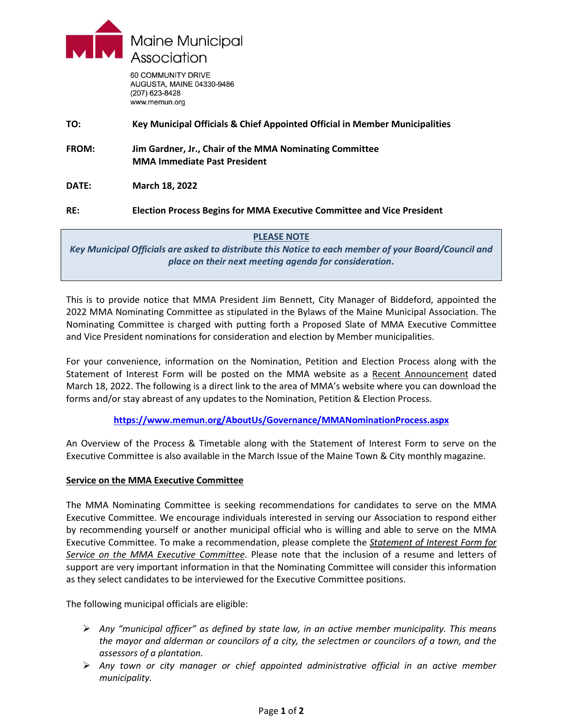

60 COMMUNITY DRIVE AUGUSTA, MAINE 04330-9486 (207) 623-8428 www.memun.org

**TO: Key Municipal Officials & Chief Appointed Official in Member Municipalities FROM: Jim Gardner, Jr., Chair of the MMA Nominating Committee MMA Immediate Past President DATE: March 18, 2022 RE: Election Process Begins for MMA Executive Committee and Vice President**

## **PLEASE NOTE**

*Key Municipal Officials are asked to distribute this Notice to each member of your Board/Council and place on their next meeting agenda for consideration***.**

This is to provide notice that MMA President Jim Bennett, City Manager of Biddeford, appointed the 2022 MMA Nominating Committee as stipulated in the Bylaws of the Maine Municipal Association. The Nominating Committee is charged with putting forth a Proposed Slate of MMA Executive Committee and Vice President nominations for consideration and election by Member municipalities.

For your convenience, information on the Nomination, Petition and Election Process along with the Statement of Interest Form will be posted on the MMA website as a Recent Announcement dated March 18, 2022. The following is a direct link to the area of MMA's website where you can download the forms and/or stay abreast of any updates to the Nomination, Petition & Election Process.

## **<https://www.memun.org/AboutUs/Governance/MMANominationProcess.aspx>**

An Overview of the Process & Timetable along with the Statement of Interest Form to serve on the Executive Committee is also available in the March Issue of the Maine Town & City monthly magazine.

## **Service on the MMA Executive Committee**

The MMA Nominating Committee is seeking recommendations for candidates to serve on the MMA Executive Committee. We encourage individuals interested in serving our Association to respond either by recommending yourself or another municipal official who is willing and able to serve on the MMA Executive Committee. To make a recommendation, please complete the *Statement of Interest Form for Service on the MMA Executive Committee*. Please note that the inclusion of a resume and letters of support are very important information in that the Nominating Committee will consider this information as they select candidates to be interviewed for the Executive Committee positions.

The following municipal officials are eligible:

- *Any "municipal officer" as defined by state law, in an active member municipality. This means the mayor and alderman or councilors of a city, the selectmen or councilors of a town, and the assessors of a plantation.*
- *Any town or city manager or chief appointed administrative official in an active member municipality.*